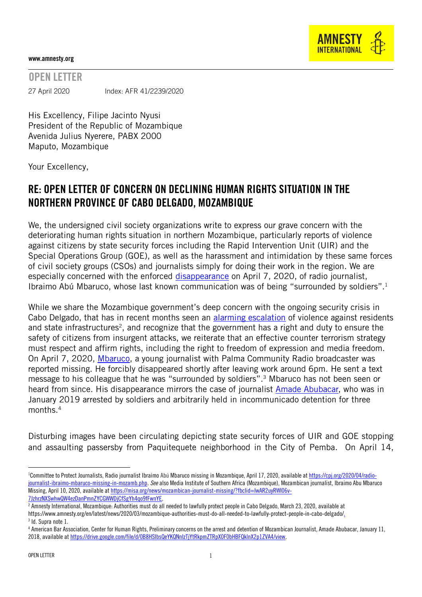

## www.amnesty.org

## OPEN LETTER

27 April 2020 Index: AFR 41/2239/2020

His Excellency, Filipe Jacinto Nyusi President of the Republic of Mozambique Avenida Julius Nyerere, PABX 2000 Maputo, Mozambique

Your Excellency,

## RE: OPEN LETTER OF CONCERN ON DECLINING HUMAN RIGHTS SITUATION IN THE NORTHERN PROVINCE OF CABO DELGADO, MOZAMBIQUE

We, the undersigned civil society organizations write to express our grave concern with the deteriorating human rights situation in northern Mozambique, particularly reports of violence against citizens by state security forces including the Rapid Intervention Unit (UIR) and the Special Operations Group (GOE), as well as the harassment and intimidation by these same forces of civil society groups (CSOs) and journalists simply for doing their work in the region. We are especially concerned with the enforced [disappearance](https://cpj.org/2020/04/radio-journalist-ibraimo-mbaruco-missing-in-mozamb.php) on April 7, 2020, of radio journalist, Ibraimo Abú Mbaruco, whose last known communication was of being "surrounded by soldiers".<sup>1</sup>

While we share the Mozambique government's deep concern with the ongoing security crisis in Cabo Delgado, that has in recent months seen an [alarming escalation](https://www.amnesty.org/en/latest/news/2020/03/mozambique-authorities-must-do-all-needed-to-lawfully-protect-people-in-cabo-delgado/) of violence against residents and state infrastructures<sup>2</sup>, and recognize that the government has a right and duty to ensure the safety of citizens from insurgent attacks, we reiterate that an effective counter terrorism strategy must respect and affirm rights, including the right to freedom of expression and media freedom. On April 7, 2020, [Mbaruco,](https://misa.org/news/mozambican-journalist-missing/?fbclid=IwAR2uyRWI06v-) a young journalist with Palma Community Radio broadcaster was reported missing. He forcibly disappeared shortly after leaving work around 6pm. He sent a text message to his colleague that he was "surrounded by soldiers".<sup>3</sup> Mbaruco has not been seen or heard from since. His disappearance mirrors the case of journalist [Amade Abubacar,](https://drive.google.com/file/d/0B8HSIbsQeYKQNnIzTjYtRkpmZTRpX0F0bHBFQklnX2p1ZVA4/view) who was in January 2019 arrested by soldiers and [arbitrarily](https://drive.google.com/file/d/0B8HSIbsQeYKQNnIzTjYtRkpmZTRpX0F0bHBFQklnX2p1ZVA4/view) held in incommunicado detention for three months. $^4\,$ 

Disturbing images have been circulating depicting state security forces of UIR and GOE stopping and assaulting passersby from Paquitequete neighborhood in the City of Pemba. On April 14,

 $\overline{a}$ 

<sup>&</sup>lt;sup>1</sup>Committee to Protect Journalists, Radio journalist Ibraimo Abú Mbaruco missing in Mozambique, April 17, 2020, available a[t https://cpj.org/2020/04/radio](https://cpj.org/2020/04/radio-journalist-ibraimo-mbaruco-missing-in-mozamb.php)[journalist-ibraimo-mbaruco-missing-in-mozamb.php.](https://cpj.org/2020/04/radio-journalist-ibraimo-mbaruco-missing-in-mozamb.php) *See* also Media Institute of Southern Africa (Mozambique), Mozambican journalist, Ibraimo Abu Mbaruco Missing, April 10, 2020, available a[t https://misa.org/news/mozambican-journalist-missing/?fbclid=IwAR2uyRWI06v-](https://misa.org/news/mozambican-journalist-missing/?fbclid=IwAR2uyRWI06v-7JzhrzNXSwhwQW4ezDanPmnZYCGWWDjCfSgYh4qo9fFwnYE)[7JzhrzNXSwhwQW4ezDanPmnZYCGWWDjCfSgYh4qo9fFwnYE.](https://misa.org/news/mozambican-journalist-missing/?fbclid=IwAR2uyRWI06v-7JzhrzNXSwhwQW4ezDanPmnZYCGWWDjCfSgYh4qo9fFwnYE)

<sup>2</sup> Amnesty International, Mozambique: Authorities must do all needed to lawfully protect people in Cabo Delgado, March 23, 2020, available at

[https://www.amnesty.org/en/latest/news/2020/03/mozambique-authorities-must-do-all-needed-to-lawfully-protect-people-in-cabo-delgado/.](https://www.amnesty.org/en/latest/news/2020/03/mozambique-authorities-must-do-all-needed-to-lawfully-protect-people-in-cabo-delgado/) 3 Id. Supra note 1.

<sup>4</sup> American Bar Association, Center for Human Rights, Preliminary concerns on the arrest and detention of Mozambican Journalist, Amade Abubacar, January 11, 2018, available a[t https://drive.google.com/file/d/0B8HSIbsQeYKQNnIzTjYtRkpmZTRpX0F0bHBFQklnX2p1ZVA4/view](https://drive.google.com/file/d/0B8HSIbsQeYKQNnIzTjYtRkpmZTRpX0F0bHBFQklnX2p1ZVA4/view).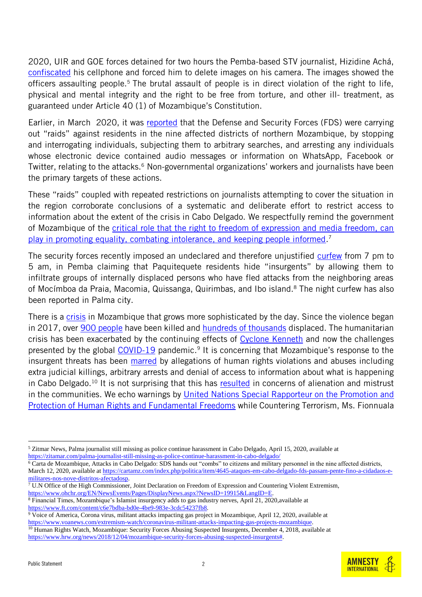2020, UIR and GOE forces detained for two hours the Pemba-based STV journalist, Hizidine Achá, [confiscated](https://zitamar.com/palma-journalist-still-missing-as-police-continue-harassment-in-cabo-delgado/) his cellphone and forced him to delete images on his camera. The images showed the officers assaulting people.<sup>5</sup> The brutal assault of people is in direct violation of the right to life, physical and mental integrity and the right to be free from torture, and other ill- treatment, as guaranteed under Article 40 (1) of Mozambique's Constitution.

Earlier, in March 2020, it was [reported](https://cartamz.com/index.php/politica/item/4645-ataques-em-cabo-delgado-fds-passam-pente-fino-a-cidadaos-e-militares-nos-nove-distritos-afectadosp) that the Defense and Security Forces (FDS) were carrying out "raids" against residents in the nine affected districts of northern Mozambique, by stopping and interrogating individuals, subjecting them to arbitrary searches, and arresting any individuals whose electronic device contained audio messages or information on WhatsApp, Facebook or Twitter, relating to the attacks.<sup>6</sup> Non-governmental organizations' workers and journalists have been the primary targets of these actions.

These "raids" coupled with repeated restrictions on journalists attempting to cover the situation in the region corroborate conclusions of a systematic and deliberate effort to restrict access to information about the extent of the crisis in Cabo Delgado. We respectfully remind the government of Mozambique of the [critical role that the right to freedom of expression and media freedom, can](https://www.ohchr.org/EN/NewsEvents/Pages/DisplayNews.aspx?NewsID=19915&LangID=E)  [play in promoting equality, combating intolerance, and keeping people informed.](https://www.ohchr.org/EN/NewsEvents/Pages/DisplayNews.aspx?NewsID=19915&LangID=E) 7

The security forces recently imposed an undeclared and therefore unjustified [curfew](https://cartamz.com/index.php/politica/item/4949-de-paquetiquete-a-mueda-os-dificeis-dias-da-populacao-que-foge-dos-ataques) from 7 pm to 5 am, in Pemba claiming that Paquitequete residents hide "insurgents" by allowing them to infiltrate groups of internally displaced persons who have fled attacks from the neighboring areas of Mocímboa da Praia, Macomia, Quissanga, Quirimbas, and Ibo island.<sup>8</sup> The night curfew has also been reported in Palma city.

There is a [crisis](https://issafrica.org/iss-today/insurgents-change-tactics-as-mozambique-seeks-help) in Mozambique that grows more sophisticated by the day. Since the violence began in 2017, over [900 people](https://www.reuters.com/article/mozambique-insurgency/mozambique-army-islamist-insurgents-battle-in-town-close-to-gas-projects-police-idUSL8N2BG5CE) have been killed and [hundreds of thousands](https://www.unhcr.org/en-us/news/briefing/2020/2/5e3d2d8f4/fresh-violence-northern-mozambique-forces-thousands-flee.html) displaced. The humanitarian crisis has been exacerbated by the continuing effects of [Cyclone Kenneth](https://www.unicef.org/press-releases/one-year-after-cyclone-idai-25-million-people-mozambique-remain-need-humanitarian) and now the challenges presented by the global [COVID-19](https://www.voanews.com/extremism-watch/coronavirus-militant-attacks-impacting-gas-projects-mozambique) pandemic.<sup>9</sup> It is concerning that Mozambique's response to the insurgent threats has been [marred](https://www.hrw.org/news/2018/12/04/mozambique-security-forces-abusing-suspected-insurgents) by allegations of human rights violations and abuses including extra judicial killings, arbitrary arrests and denial of access to information about what is happening in Cabo Delgado.<sup>10</sup> It is not surprising that this has [resulted](https://www.hrw.org/news/2018/12/04/mozambique-security-forces-abusing-suspected-insurgents) in concerns of alienation and mistrust in the communities. We echo warnings by [United Nations Special Rapporteur on the Promotion and](https://www.ohchr.org/EN/NewsEvents/Pages/DisplayNews.aspx?NewsID=25655&LangID=E)  [Protection of Human Rights and Fundamental Freedoms](https://www.ohchr.org/EN/NewsEvents/Pages/DisplayNews.aspx?NewsID=25655&LangID=E) while Countering Terrorism, Ms. Fionnuala

- $\overline{7}$  U.N Office of the High Commissioner, Joint Declaration on Freedom of Expression and Countering Violent Extremism, [https://www.ohchr.org/EN/NewsEvents/Pages/DisplayNews.aspx?NewsID=19915&LangID=E.](https://www.ohchr.org/EN/NewsEvents/Pages/DisplayNews.aspx?NewsID=19915&LangID=E)
- <sup>8</sup> Financial Times, Mozambique's Islamist insurgency adds to gas industry nerves, April 21, 2020,available at [https://www.ft.com/content/c6e7bdba-bd0e-4be9-983e-3cdc54237fb8.](https://www.ft.com/content/c6e7bdba-bd0e-4be9-983e-3cdc54237fb8)

 $\overline{a}$ 

<sup>5</sup> Zitmar News, Palma journalist still missing as police continue harassment in Cabo Delgado, April 15, 2020, available at <https://zitamar.com/palma-journalist-still-missing-as-police-continue-harassment-in-cabo-delgado/>

 $\overline{6}$  Carta de Mozambique, Attacks in Cabo Delgado: SDS hands out "combs" to citizens and military personnel in the nine affected districts, March 12, 2020, available at [https://cartamz.com/index.php/politica/item/4645-ataques-em-cabo-delgado-fds-passam-pente-fino-a-cidadaos-e](https://cartamz.com/index.php/politica/item/4645-ataques-em-cabo-delgado-fds-passam-pente-fino-a-cidadaos-e-militares-nos-nove-distritos-afectadosp)[militares-nos-nove-distritos-afectadosp.](https://cartamz.com/index.php/politica/item/4645-ataques-em-cabo-delgado-fds-passam-pente-fino-a-cidadaos-e-militares-nos-nove-distritos-afectadosp)

<sup>&</sup>lt;sup>9</sup> Voice of America, Corona virus, militant attacks impacting gas project in Mozambique, April 12, 2020, available at [https://www.voanews.com/extremism-watch/coronavirus-militant-attacks-impacting-gas-projects-mozambique.](https://www.voanews.com/extremism-watch/coronavirus-militant-attacks-impacting-gas-projects-mozambique)

<sup>&</sup>lt;sup>10</sup> Human Rights Watch, Mozambique: Security Forces Abusing Suspected Insurgents, December 4, 2018, available at [https://www.hrw.org/news/2018/12/04/mozambique-security-forces-abusing-suspected-insurgents#.](https://www.hrw.org/news/2018/12/04/mozambique-security-forces-abusing-suspected-insurgents)